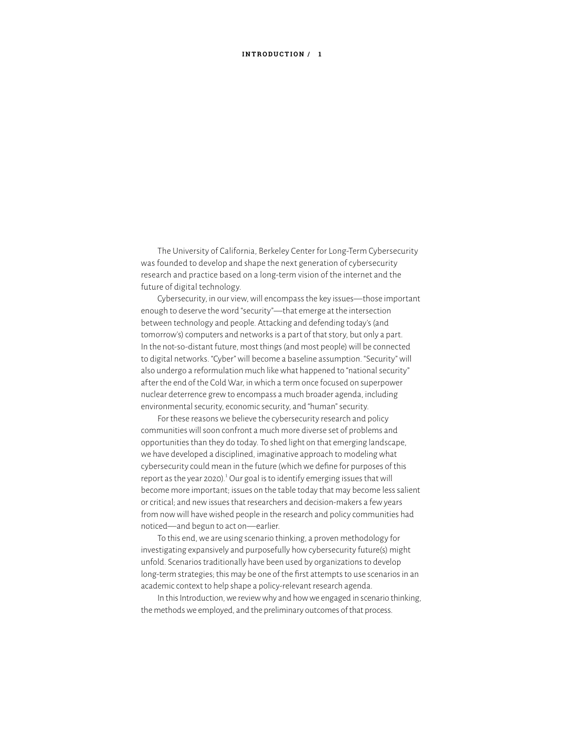#### **INTRODUCTION / 1**

The University of California, Berkeley Center for Long-Term Cybersecurity was founded to develop and shape the next generation of cybersecurity research and practice based on a long-term vision of the internet and the future of digital technology.

Cybersecurity, in our view, will encompass the key issues—those important enough to deserve the word "security"—that emerge at the intersection between technology and people. Attacking and defending today's (and tomorrow's) computers and networks is a part of that story, but only a part. In the not-so-distant future, most things (and most people) will be connected to digital networks. "Cyber" will become a baseline assumption. "Security" will also undergo a reformulation much like what happened to "national security" after the end of the Cold War, in which a term once focused on superpower nuclear deterrence grew to encompass a much broader agenda, including environmental security, economic security, and "human" security.

For these reasons we believe the cybersecurity research and policy communities will soon confront a much more diverse set of problems and opportunities than they do today. To shed light on that emerging landscape, we have developed a disciplined, imaginative approach to modeling what cybersecurity could mean in the future (which we define for purposes of this report as the year 2020).<sup>1</sup> Our goal is to identify emerging issues that will become more important; issues on the table today that may become less salient or critical; and new issues that researchers and decision-makers a few years from now will have wished people in the research and policy communities had noticed—and begun to act on—earlier.

To this end, we are using scenario thinking, a proven methodology for investigating expansively and purposefully how cybersecurity future(s) might unfold. Scenarios traditionally have been used by organizations to develop long-term strategies; this may be one of the first attempts to use scenarios in an academic context to help shape a policy-relevant research agenda.

In this Introduction, we review why and how we engaged in scenario thinking, the methods we employed, and the preliminary outcomes of that process.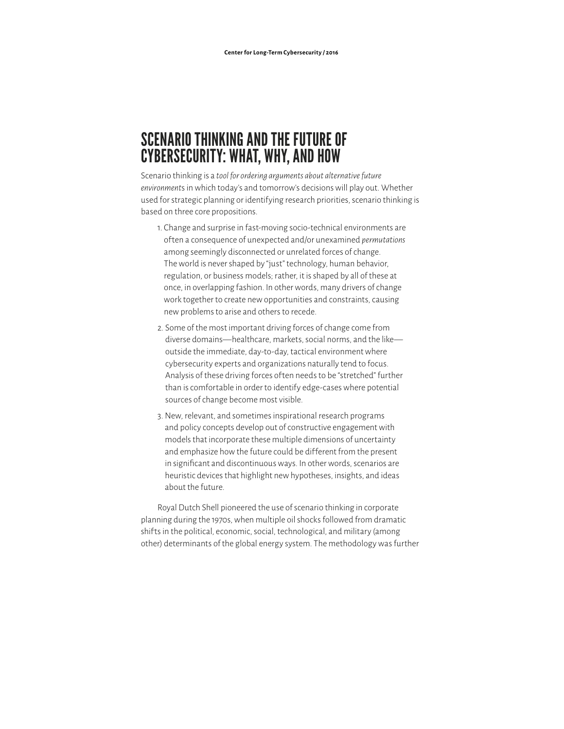# SCENARIO THINKING AND THE FUTURE OF CYBERSECURITY: WHAT, WHY, AND HOW

Scenario thinking is a *tool for ordering arguments about alternative future environment*s in which today's and tomorrow's decisions will play out. Whether used for strategic planning or identifying research priorities, scenario thinking is based on three core propositions.

- 1. Change and surprise in fast-moving socio-technical environments are of ten a consequence of unexpected and/or unexamined *permutations* among seemingly disconnected or unrelated forces of change. The world is never shaped by "just" technology, human behavior, regulation, or business models; rather, it is shaped by all of these at once, in overlapping fashion. In other words, many drivers of change work together to create new opportunities and constraints, causing new problems to arise and others to recede.
- 2. Some of the most important driving forces of change come from diverse domains—healthcare, markets, social norms, and the like outside the immediate, day-to-day, tactical environment where cybersecurity experts and organizations naturally tend to focus. Analysis of these driving forces of ten needs to be "stretched" further than is comfortable in order to identify edge-cases where potential sources of change become most visible.
- 3. New, relevant, and sometimes inspirational research programs and policy concepts develop out of constructive engagement with models that incorporate these multiple dimensions of uncertainty and emphasize how the future could be different from the present in significant and discontinuous ways. In other words, scenarios are heuristic devices that highlight new hypotheses, insights, and ideas about the future.

Royal Dutch Shell pioneered the use of scenario thinking in corporate planning during the 1970s, when multiple oil shocks followed from dramatic shifts in the political, economic, social, technological, and military (among other) determinants of the global energy system. The methodology was further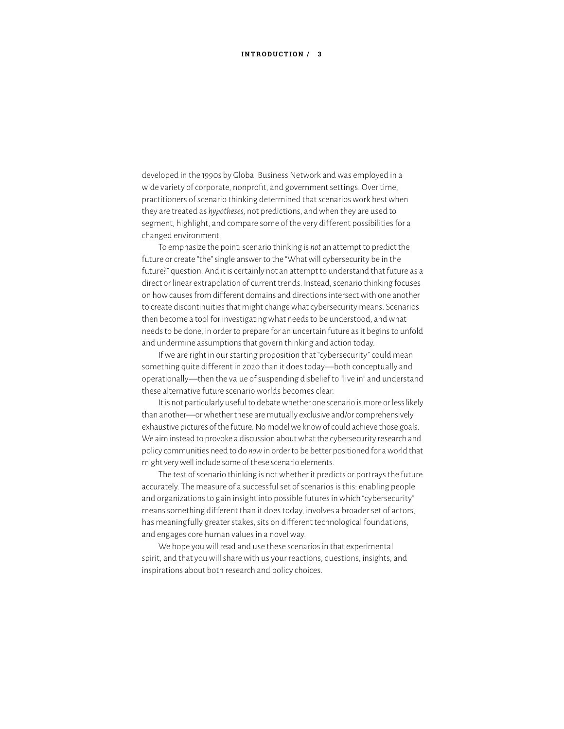#### **INTRODUCTION / 3**

developed in the 1990s by Global Business Network and was employed in a wide variety of corporate, nonprofit, and government settings. Over time, practitioners of scenario thinking determined that scenarios work best when they are treated as *hypotheses*, not predictions, and when they are used to segment, highlight, and compare some of the very different possibilities for a changed environment.

To emphasize the point: scenario thinking is *not* an attempt to predict the future or create "the" single answer to the "What will cybersecurity be in the future?" question. And it is certainly not an attempt to understand that future as a direct or linear extrapolation of current trends. Instead, scenario thinking focuses on how causes from different domains and directions intersect with one another to create discontinuities that might change what cybersecurity means. Scenarios then become a tool for investigating what needs to be understood, and what needs to be done, in order to prepare for an uncertain future as it begins to unfold and undermine assumptions that govern thinking and action today.

If we are right in our starting proposition that "cybersecurity" could mean something quite different in 2020 than it does today—both conceptually and operationally—then the value of suspending disbelief to "live in" and understand these alternative future scenario worlds becomes clear.

It is not particularly useful to debate whether one scenario is more or less likely than another—or whether these are mutually exclusive and/or comprehensively exhaustive pictures of the future. No model we know of could achieve those goals. We aim instead to provoke a discussion about what the cybersecurity research and policy communities need to do *now* in order to be better positioned for a world that might very well include some of these scenario elements.

The test of scenario thinking is not whether it predicts or portrays the future accurately. The measure of a successful set of scenarios is this: enabling people and organizations to gain insight into possible futures in which "cybersecurity" means something different than it does today, involves a broader set of actors, has meaningfully greater stakes, sits on different technological foundations, and engages core human values in a novel way.

We hope you will read and use these scenarios in that experimental spirit, and that you will share with us your reactions, questions, insights, and inspirations about both research and policy choices.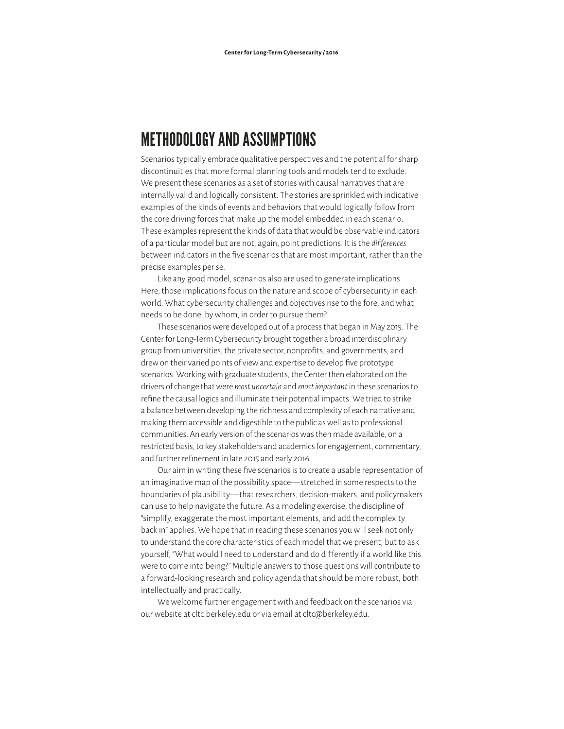## METHODOLOGY AND ASSUMPTIONS

Scenarios typically embrace qualitative perspectives and the potential for sharp discontinuities that more formal planning tools and models tend to exclude. We present these scenarios as a set of stories with causal narratives that are internally valid and logically consistent. The stories are sprinkled with indicative examples of the kinds of events and behaviors that would logically follow from the core driving forces that make up the model embedded in each scenario. These examples represent the kinds of data that would be observable indicators of a particular model but are not, again, point predictions. It is the *dif ferences* between indicators in the five scenarios that are most important, rather than the precise examples per se.

Like any good model, scenarios also are used to generate implications. Here, those implications focus on the nature and scope of cybersecurity in each world. What cybersecurity challenges and objectives rise to the fore, and what needs to be done, by whom, in order to pursue them?

These scenarios were developed out of a process that began in May 2015. The Center for Long-Term Cybersecurity brought together a broad interdisciplinary group from universities, the private sector, nonprofits, and governments, and drew on their varied points of view and expertise to develop five prototype scenarios. Working with graduate students, the Center then elaborated on the drivers of change that were *most uncertain* and *most important* in these scenarios to refine the causal logics and illuminate their potential impacts. We tried to strike a balance between developing the richness and complexity of each narrative and making them accessible and digestible to the public as well as to professional communities. An early version of the scenarios was then made available, on a restricted basis, to key stakeholders and academics for engagement, commentary, and further refinement in late 2015 and early 2016.

Our aim in writing these five scenarios is to create a usable representation of an imaginative map of the possibility space—stretched in some respects to the boundaries of plausibility—that researchers, decision-makers, and policymakers can use to help navigate the future. As a modeling exercise, the discipline of "simplify, exaggerate the most important elements, and add the complexity back in" applies. We hope that in reading these scenarios you will seek not only to understand the core characteristics of each model that we present, but to ask yourself, "What would I need to understand and do dif ferently if a world like this were to come into being?" Multiple answers to those questions will contribute to a forward-looking research and policy agenda that should be more robust, both intellectually and practically.

We welcome further engagement with and feedback on the scenarios via our website at cltc.berkeley.edu or via email at cltc@berkeley.edu.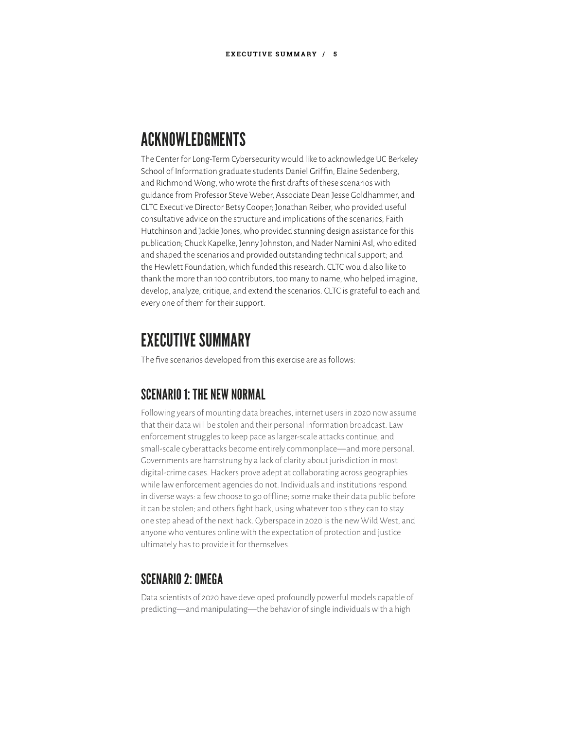## ACKNOWLEDGMENTS

The Center for Long-Term Cybersecurity would like to acknowledge UC Berkeley School of Information graduate students Daniel Griffin, Elaine Sedenberg, and Richmond Wong, who wrote the first drafts of these scenarios with guidance from Professor Steve Weber, Associate Dean Jesse Goldhammer, and CLTC Executive Director Betsy Cooper; Jonathan Reiber, who provided useful consultative advice on the structure and implications of the scenarios; Faith Hutchinson and Jackie Jones, who provided stunning design assistance for this publication; Chuck Kapelke, Jenny Johnston, and Nader Namini Asl, who edited and shaped the scenarios and provided outstanding technical support; and the Hewlett Foundation, which funded this research. CLTC would also like to thank the more than 100 contributors, too many to name, who helped imagine, develop, analyze, critique, and extend the scenarios. CLTC is grateful to each and every one of them for their support.

## *EXECUTIVE SUMMARY*

The five scenarios developed from this exercise are as follows:

### SCENARIO 1: THE NEW NORMAL

Following years of mounting data breaches, internet users in 2020 now assume that their data will be stolen and their personal information broadcast. Law enforcement struggles to keep pace as larger-scale attacks continue, and small-scale cyberattacks become entirely commonplace—and more personal. Governments are hamstrung by a lack of clarity about jurisdiction in most digital-crime cases. Hackers prove adept at collaborating across geographies while law enforcement agencies do not. Individuals and institutions respond in diverse ways: a few choose to go offline; some make their data public before it can be stolen; and others fight back, using whatever tools they can to stay one step ahead of the next hack. Cyberspace in 2020 is the new Wild West, and anyone who ventures online with the expectation of protection and justice ultimately has to provide it for themselves.

### SCENARIO 2<sup>.</sup> OMEGA

Data scientists of 2020 have developed profoundly powerful models capable of predicting—and manipulating—the behavior of single individuals with a high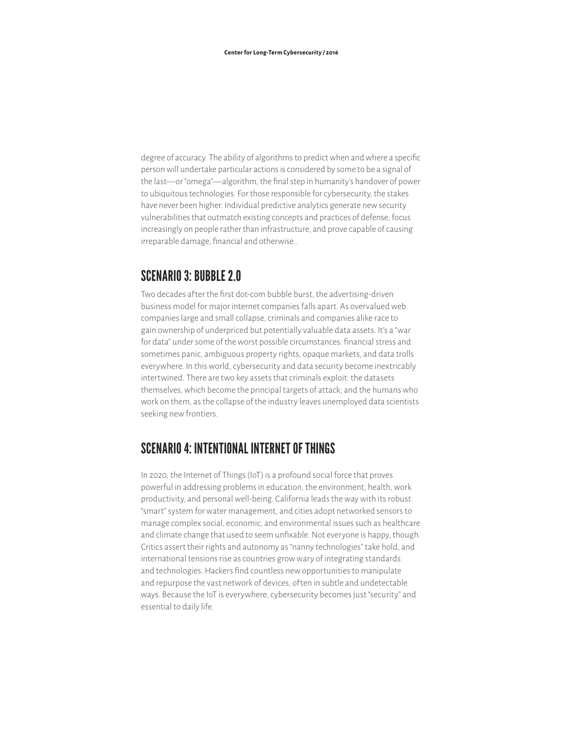degree of accuracy. The ability of algorithms to predict when and where a specific person will undertake particular actions is considered by some to be a signal of the last—or "omega"—algorithm, the final step in humanity's handover of power to ubiquitous technologies. For those responsible for cybersecurity, the stakes have never been higher. Individual predictive analytics generate new security vulnerabilities that outmatch existing concepts and practices of defense, focus increasingly on people rather than infrastructure, and prove capable of causing irreparable damage, financial and otherwise..

#### SCENARIO 3: BUBBLE 2.0

Two decades after the first dot-com bubble burst, the advertising-driven business model for major internet companies falls apart. As overvalued web companies large and small collapse, criminals and companies alike race to gain ownership of underpriced but potentially valuable data assets. It's a "war for data" under some of the worst possible circumstances: financial stress and sometimes panic, ambiguous property rights, opaque markets, and data trolls everywhere. In this world, cybersecurity and data security become inextricably intertwined. There are two key assets that criminals exploit: the datasets themselves, which become the principal targets of attack; and the humans who work on them, as the collapse of the industry leaves unemployed data scientists seeking new frontiers.

### SCENARIO 4: INTENTIONAL INTERNET OF THINGS

In 2020, the Internet of Things (IoT) is a profound social force that proves powerful in addressing problems in education, the environment, health, work productivity, and personal well-being. California leads the way with its robust "smart" system for water management, and cities adopt networked sensors to manage complex social, economic, and environmental issues such as healthcare and climate change that used to seem unfixable. Not everyone is happy, though. Critics assert their rights and autonomy as "nanny technologies" take hold, and international tensions rise as countries grow wary of integrating standards and technologies. Hackers find countless new opportunities to manipulate and repurpose the vast network of devices, often in subtle and undetectable ways. Because the IoT is everywhere, cybersecurity becomes just "security" and essential to daily life.